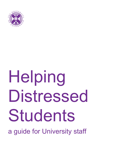

# Helping Distressed Students

a guide for University staff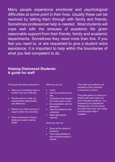Many people experience emotional and psychological difficulties at some point in their lives. Usually these can be resolved by talking them through with family and friends. Sometimes professional help is needed. Most students will cope well with the stresses of academic life given reasonable support from their friends, family and academic departments. Sometimes they need more than this. If you feel you need to, or are requested to give a student extra assistance, it is important to help within the boundaries of what you feel competent to do.

### **Helping Distressed Students: A guide for staff**

This guide has been produced to:

- Help you to recognise when a student may be in difficulty
- Provide advice to help you respond/refer appropriately and effectively
- Remind you of the sources of support within the University
- Raise awareness of issues relating to student mental health

What you can do

- Listen
- Give the student time to talk
- Understand the situation from their point of view
- Be sympathetic and not dismissive
- Help the student to feel contained
- Make appropriate referrals

What you can't do

- Solve all the student's problems
- Take responsibility for their emotional state or actions

The health and welfare of all members of the University is everyone's concern.

This guide gives you advice on dealing with both crises and more everyday situations. It is important to be prepared for emergencies, but you should be aware they occur very rarely and that expert help is available.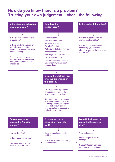## **How do you know there is a problem? Trusting your own judgement – check the following**

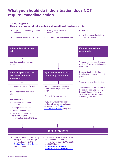## **What you should do if the situation does NOT require immediate action**

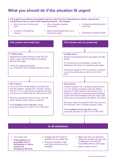## **What you should do if the situation IS urgent**



Helping Distressed Students 3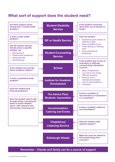## **What sort of support does the student need?**



**Remember – friends and family can be a source of support**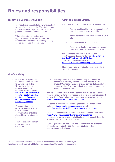# **Roles and responsibilities**

#### **Identifying Sources of Support**

- It is not always possible to know what the best source of support might be. The student may have more than one problem, or the initial problem may not be the most central.
- What is important in the first instance is to signpost the student to somewhere **that is acceptable to them**. Further signposting can be made later, if appropriate.

#### **Offering Support Directly**

If you offer support yourself, you must ensure that:

- You have sufficient time within the context of your other commitments to do this
- It does not conflict with other aspects of your role
- You have access to consultation
- You seek advice from colleagues or student services if you have persistent concerns.

Other supports available to staff include: The Chaplaincy Listening Service: [The Listening](https://www.ed.ac.uk/chaplaincy/the-listening-service)  [Service | The University of Edinburgh](https://www.ed.ac.uk/chaplaincy/the-listening-service) The Staff Counselling Service: <https://www.ed.ac.uk/counselling-services/staff>

Remember – you are not solely responsible for a student's emotional state.

#### **Confidentiality**

- Do not disclose personal information about students to anyone outside the University, including parents, without the student's explicit consent: [https://www.ed.ac.uk/staff/s](https://www.ed.ac.uk/staff/supporting-students/student-mental-health/guidance-communicating-student-emergency-contacts) [upporting-students/student](https://www.ed.ac.uk/staff/supporting-students/student-mental-health/guidance-communicating-student-emergency-contacts)[mental-health/guidance](https://www.ed.ac.uk/staff/supporting-students/student-mental-health/guidance-communicating-student-emergency-contacts)[communicating-student](https://www.ed.ac.uk/staff/supporting-students/student-mental-health/guidance-communicating-student-emergency-contacts)[emergency-contacts](https://www.ed.ac.uk/staff/supporting-students/student-mental-health/guidance-communicating-student-emergency-contacts)
- If the parents wish to contact a student, you can offer to forward a communication or tell the student they have been in touch.
- Treat personal information about students with discretion.

• Do not promise absolute confidentiality and advise the student that you may have to consult a colleague. The Student Counselling Service offers a confidential consultation service to all staff who may wish to discuss their concerns about students in difficulty.

The Advice Place offers a remote contact with the police. Remote reporting allows victims or witnesses of a crime or incident to report it to the Advice Place rather than having to go to the police directly. [Edinburgh University Students' Association](https://www.eusa.ed.ac.uk/adviceplace/harassmentsafetyandcrime/reportingacrime)

Guidance is available for supporting students who report sexual violence: <https://reportandsupport.ed.ac.uk/> and <https://www.ed.ac.uk/staff/student-support/sexual-violence>

Guidelines on disclosure of information on students are available: <https://www.ed.ac.uk/records-management/guidance> If you require further advice or clarification please contact Records Management Section (0131 651 4099).

Further guidelines on disclosure and confidentiality are available: www.ed.ac.uk/student-disability-service/staff/supportingstudents/student-disclosure

The University of Edinburgh would like to acknowledge the contribution of Myra Woolfson at the University of Nottingham Counselling Service to this document